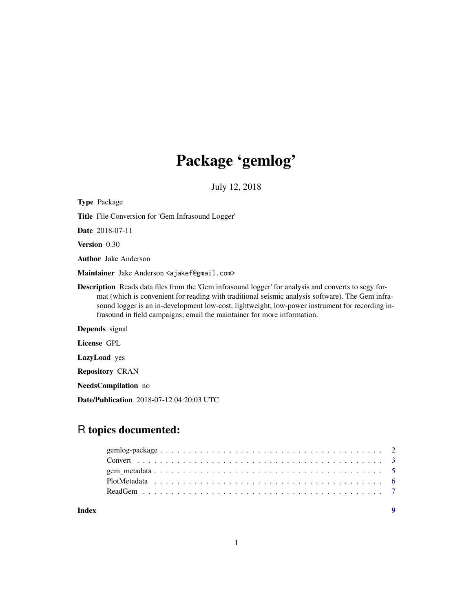# Package 'gemlog'

July 12, 2018

| <b>Type Package</b>                                                                                                                                                                                                                                                                                                                                                                           |
|-----------------------------------------------------------------------------------------------------------------------------------------------------------------------------------------------------------------------------------------------------------------------------------------------------------------------------------------------------------------------------------------------|
| Title File Conversion for 'Gem Infrasound Logger'                                                                                                                                                                                                                                                                                                                                             |
| <b>Date</b> 2018-07-11                                                                                                                                                                                                                                                                                                                                                                        |
| <b>Version</b> 0.30                                                                                                                                                                                                                                                                                                                                                                           |
| <b>Author</b> Jake Anderson                                                                                                                                                                                                                                                                                                                                                                   |
| Maintainer Jake Anderson <ajakef@gmail.com></ajakef@gmail.com>                                                                                                                                                                                                                                                                                                                                |
| <b>Description</b> Reads data files from the 'Gem infrasound logger' for analysis and converts to segy for-<br>mat (which is convenient for reading with traditional seismic analysis software). The Gem infra-<br>sound logger is an in-development low-cost, lightweight, low-power instrument for recording in-<br>frasound in field campaigns; email the maintainer for more information. |
| <b>Depends</b> signal                                                                                                                                                                                                                                                                                                                                                                         |
| License GPL                                                                                                                                                                                                                                                                                                                                                                                   |
| <b>LazyLoad</b> yes                                                                                                                                                                                                                                                                                                                                                                           |
| <b>Repository CRAN</b>                                                                                                                                                                                                                                                                                                                                                                        |
| <b>NeedsCompilation</b> no                                                                                                                                                                                                                                                                                                                                                                    |
| Date/Publication 2018-07-12 04:20:03 UTC                                                                                                                                                                                                                                                                                                                                                      |

# R topics documented:

| Index |  |
|-------|--|
|       |  |
|       |  |
|       |  |
|       |  |
|       |  |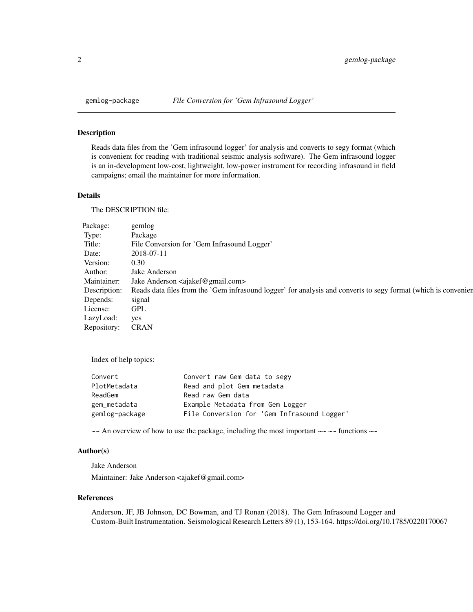<span id="page-1-0"></span>

# Description

Reads data files from the 'Gem infrasound logger' for analysis and converts to segy format (which is convenient for reading with traditional seismic analysis software). The Gem infrasound logger is an in-development low-cost, lightweight, low-power instrument for recording infrasound in field campaigns; email the maintainer for more information.

# Details

The DESCRIPTION file:

| Package:         | gemlog                                                                                                                      |
|------------------|-----------------------------------------------------------------------------------------------------------------------------|
| Type:            | Package                                                                                                                     |
| Title:           | File Conversion for 'Gem Infrasound Logger'                                                                                 |
| Date:            | 2018-07-11                                                                                                                  |
| Version:         | 0.30                                                                                                                        |
| Author:          | Jake Anderson                                                                                                               |
|                  | Maintainer: Jake Anderson <ajakef@gmail.com></ajakef@gmail.com>                                                             |
|                  | Description: Reads data files from the 'Gem infrasound logger' for analysis and converts to segy format (which is convenien |
| Depends:         | signal                                                                                                                      |
| License:         | <b>GPL</b>                                                                                                                  |
| LazyLoad:        | yes                                                                                                                         |
| Repository: CRAN |                                                                                                                             |

Index of help topics:

| Convert        | Convert raw Gem data to segy                |
|----------------|---------------------------------------------|
| PlotMetadata   | Read and plot Gem metadata                  |
| ReadGem        | Read raw Gem data                           |
| gem_metadata   | Example Metadata from Gem Logger            |
| gemlog-package | File Conversion for 'Gem Infrasound Logger' |

 $\sim$  An overview of how to use the package, including the most important  $\sim$   $\sim$  functions  $\sim$ 

# Author(s)

Jake Anderson Maintainer: Jake Anderson <ajakef@gmail.com>

#### References

Anderson, JF, JB Johnson, DC Bowman, and TJ Ronan (2018). The Gem Infrasound Logger and Custom-Built Instrumentation. Seismological Research Letters 89 (1), 153-164. https://doi.org/10.1785/0220170067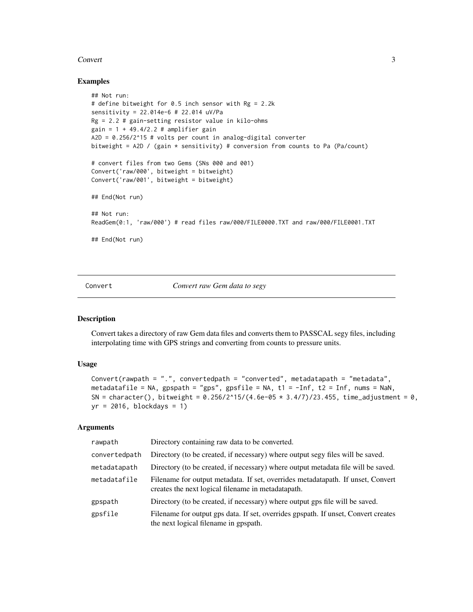#### <span id="page-2-0"></span>Convert 3

#### Examples

```
## Not run:
# define bitweight for 0.5 inch sensor with Rg = 2.2k
sensitivity = 22.014e-6 # 22.014 uV/Pa
Rg = 2.2 # gain-setting resistor value in kilo-ohms
gain = 1 + 49.4/2.2 # amplifier gainA2D = 0.256/2^15 # volts per count in analog-digital converter
bitweight = A2D / (gain * sensitivity) # conversion from counts to Pa (Pa/count)
# convert files from two Gems (SNs 000 and 001)
Convert('raw/000', bitweight = bitweight)
Convert('raw/001', bitweight = bitweight)
## End(Not run)
## Not run:
ReadGem(0:1, 'raw/000') # read files raw/000/FILE0000.TXT and raw/000/FILE0001.TXT
## End(Not run)
```
Convert *Convert raw Gem data to segy*

# Description

Convert takes a directory of raw Gem data files and converts them to PASSCAL segy files, including interpolating time with GPS strings and converting from counts to pressure units.

#### Usage

```
Convert(rawpath = ".", convertedpath = "converted", metadatapath = "metadata",
metadatafile = NA, gpspath = "gps", gpsfile = NA, t1 = -Inf, t2 = Inf, nums = NaN,
SN = character(), bitweight = 0.256/2^15/(4.6e-05 \times 3.4/7)/23.455, time_adjustment = 0,
yr = 2016, blockdays = 1)
```
# Arguments

| rawpath       | Directory containing raw data to be converted.                                                                                        |
|---------------|---------------------------------------------------------------------------------------------------------------------------------------|
| convertedpath | Directory (to be created, if necessary) where output segy files will be saved.                                                        |
| metadatapath  | Directory (to be created, if necessary) where output metadata file will be saved.                                                     |
| metadatafile  | Filename for output metadata. If set, overrides metadatapath. If unset, Convert<br>creates the next logical filename in metadatapath. |
| gpspath       | Directory (to be created, if necessary) where output gps file will be saved.                                                          |
| gpsfile       | Filename for output gps data. If set, overrides gpspath. If unset, Convert creates<br>the next logical filename in gpspath.           |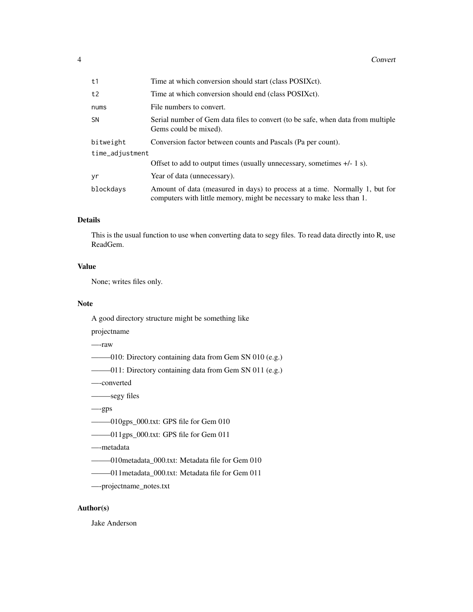#### 4 Convert

| t1              | Time at which conversion should start (class POSIXct).                                                                                               |
|-----------------|------------------------------------------------------------------------------------------------------------------------------------------------------|
| t2              | Time at which conversion should end (class POSIXct).                                                                                                 |
| nums            | File numbers to convert.                                                                                                                             |
| <b>SN</b>       | Serial number of Gem data files to convert (to be safe, when data from multiple<br>Gems could be mixed).                                             |
| bitweight       | Conversion factor between counts and Pascals (Pa per count).                                                                                         |
| time_adjustment |                                                                                                                                                      |
|                 | Offset to add to output times (usually unnecessary, sometimes $+/- 1$ s).                                                                            |
| yr              | Year of data (unnecessary).                                                                                                                          |
| blockdays       | Amount of data (measured in days) to process at a time. Normally 1, but for<br>computers with little memory, might be necessary to make less than 1. |

# Details

This is the usual function to use when converting data to segy files. To read data directly into R, use ReadGem.

# Value

None; writes files only.

#### Note

A good directory structure might be something like

projectname

—-raw

——–010: Directory containing data from Gem SN 010 (e.g.)

——–011: Directory containing data from Gem SN 011 (e.g.)

—-converted

——–segy files

—-gps

——–010gps\_000.txt: GPS file for Gem 010

——–011gps\_000.txt: GPS file for Gem 011

—-metadata

——–010metadata\_000.txt: Metadata file for Gem 010

——–011metadata\_000.txt: Metadata file for Gem 011

—-projectname\_notes.txt

# Author(s)

Jake Anderson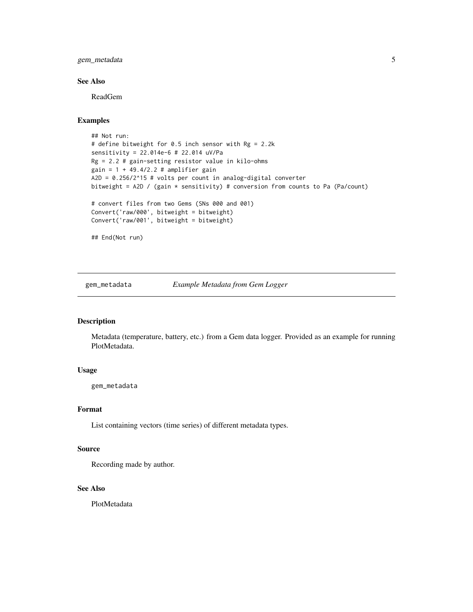<span id="page-4-0"></span>gem\_metadata 5

# See Also

ReadGem

# Examples

```
## Not run:
# define bitweight for 0.5 inch sensor with Rg = 2.2k
sensitivity = 22.014e-6 # 22.014 uV/Pa
Rg = 2.2 # gain-setting resistor value in kilo-ohms
gain = 1 + 49.4/2.2 # amplifier gain
A2D = 0.256/2^15 # volts per count in analog-digital converter
bitweight = A2D / (gain * sensitivity) # conversion from counts to Pa (Pa/count)
# convert files from two Gems (SNs 000 and 001)
Convert('raw/000', bitweight = bitweight)
Convert('raw/001', bitweight = bitweight)
## End(Not run)
```
gem\_metadata *Example Metadata from Gem Logger*

#### Description

Metadata (temperature, battery, etc.) from a Gem data logger. Provided as an example for running PlotMetadata.

# Usage

gem\_metadata

#### Format

List containing vectors (time series) of different metadata types.

#### Source

Recording made by author.

### See Also

PlotMetadata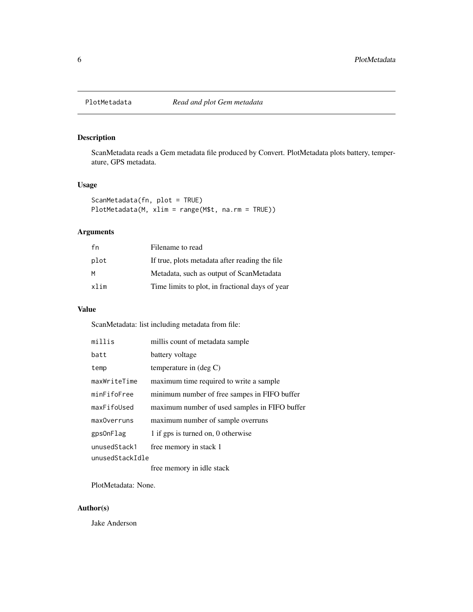<span id="page-5-0"></span>

# Description

ScanMetadata reads a Gem metadata file produced by Convert. PlotMetadata plots battery, temperature, GPS metadata.

# Usage

ScanMetadata(fn, plot = TRUE) PlotMetadata(M, xlim = range(M\$t, na.rm = TRUE))

# Arguments

| fn   | Filename to read                                |
|------|-------------------------------------------------|
| plot | If true, plots metadata after reading the file  |
| M    | Metadata, such as output of ScanMetadata        |
| xlim | Time limits to plot, in fractional days of year |

# Value

ScanMetadata: list including metadata from file:

| millis          | millis count of metadata sample               |
|-----------------|-----------------------------------------------|
| batt            | battery voltage                               |
| temp            | temperature in $(\text{deg } C)$              |
| maxWriteTime    | maximum time required to write a sample       |
| minFifoFree     | minimum number of free sampes in FIFO buffer  |
| maxFifoUsed     | maximum number of used samples in FIFO buffer |
| maxOverruns     | maximum number of sample overruns             |
| gps0nFlag       | 1 if gps is turned on, 0 otherwise            |
| unusedStack1    | free memory in stack 1                        |
| unusedStackIdle |                                               |

free memory in idle stack

PlotMetadata: None.

### Author(s)

Jake Anderson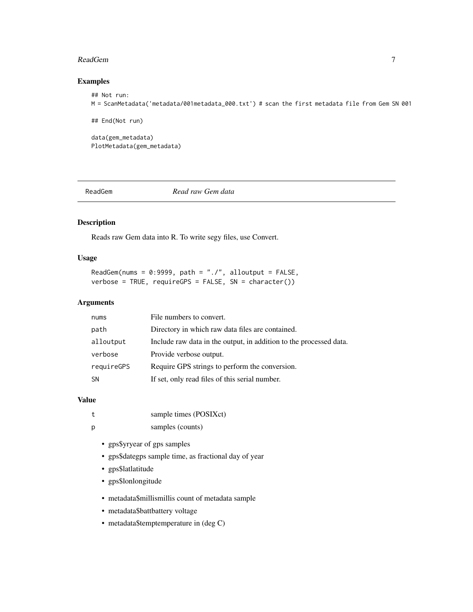#### <span id="page-6-0"></span>ReadGem 2020 **ReadGem** 2020 **ReadGem** 2020 **ReadGem** 2020 **ReadGem** 2020 **ReadGem**

# Examples

```
## Not run:
M = ScanMetadata('metadata/001metadata_000.txt') # scan the first metadata file from Gem SN 001
## End(Not run)
data(gem_metadata)
PlotMetadata(gem_metadata)
```
ReadGem *Read raw Gem data*

# Description

Reads raw Gem data into R. To write segy files, use Convert.

# Usage

ReadGem(nums =  $0:9999$ , path = "./", alloutput = FALSE,  $verbose = TRUE, require GPS = FALSE, SN = character()$ 

# Arguments

| nums       | File numbers to convert.                                           |
|------------|--------------------------------------------------------------------|
| path       | Directory in which raw data files are contained.                   |
| alloutput  | Include raw data in the output, in addition to the processed data. |
| verbose    | Provide verbose output.                                            |
| requireGPS | Require GPS strings to perform the conversion.                     |
| <b>SN</b>  | If set, only read files of this serial number.                     |

# Value

- p samples (counts)
	- gps\$yryear of gps samples
	- gps\$dategps sample time, as fractional day of year
	- gps\$latlatitude
	- gps\$lonlongitude
	- metadata\$millismillis count of metadata sample
	- metadata\$battbattery voltage
	- metadata\$temptemperature in (deg C)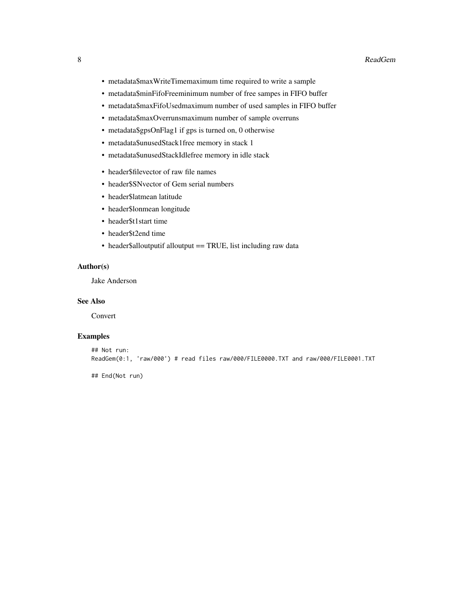- metadata\$maxWriteTimemaximum time required to write a sample
- metadata\$minFifoFreeminimum number of free sampes in FIFO buffer
- metadata\$maxFifoUsedmaximum number of used samples in FIFO buffer
- metadata\$maxOverrunsmaximum number of sample overruns
- metadata\$gpsOnFlag1 if gps is turned on, 0 otherwise
- metadata\$unusedStack1free memory in stack 1
- metadata\$unusedStackIdlefree memory in idle stack
- header\$filevector of raw file names
- header\$SNvector of Gem serial numbers
- header\$latmean latitude
- header\$lonmean longitude
- header\$t1start time
- header\$t2end time
- header\$alloutputif alloutput == TRUE, list including raw data

# Author(s)

Jake Anderson

#### See Also

Convert

#### Examples

```
## Not run:
ReadGem(0:1, 'raw/000') # read files raw/000/FILE0000.TXT and raw/000/FILE0001.TXT
```
## End(Not run)